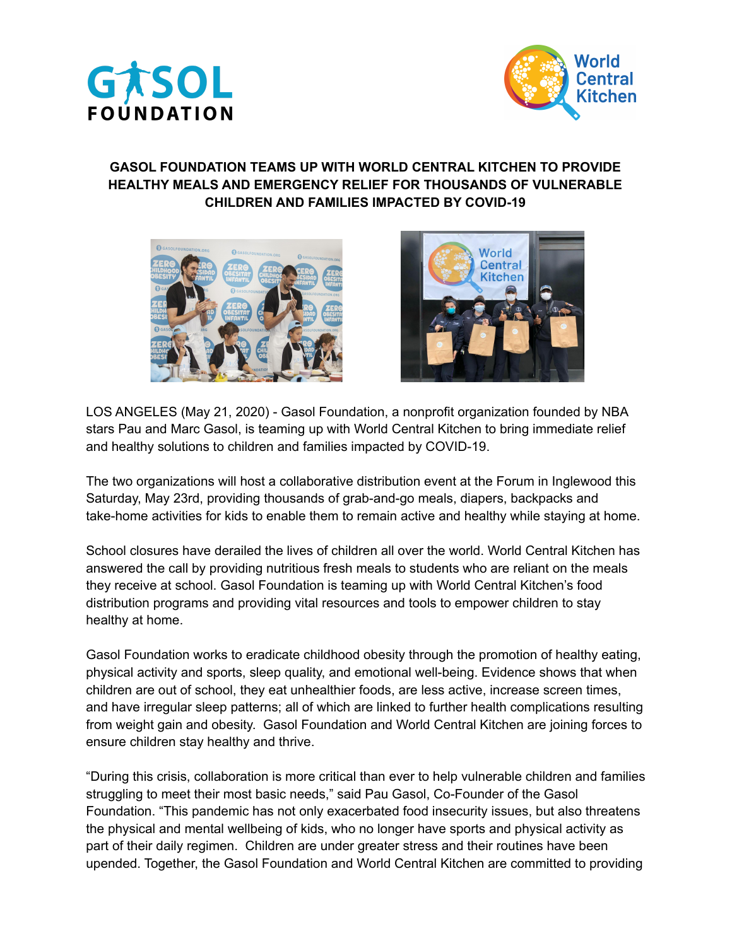



## **GASOL FOUNDATION TEAMS UP WITH WORLD CENTRAL KITCHEN TO PROVIDE HEALTHY MEALS AND EMERGENCY RELIEF FOR THOUSANDS OF VULNERABLE CHILDREN AND FAMILIES IMPACTED BY COVID-19**





LOS ANGELES (May 21, 2020) - Gasol Foundation, a nonprofit organization founded by NBA stars Pau and Marc Gasol, is teaming up with World Central Kitchen to bring immediate relief and healthy solutions to children and families impacted by COVID-19.

The two organizations will host a collaborative distribution event at the Forum in Inglewood this Saturday, May 23rd, providing thousands of grab-and-go meals, diapers, backpacks and take-home activities for kids to enable them to remain active and healthy while staying at home.

School closures have derailed the lives of children all over the world. World Central Kitchen has answered the call by providing nutritious fresh meals to students who are reliant on the meals they receive at school. Gasol Foundation is teaming up with World Central Kitchen's food distribution programs and providing vital resources and tools to empower children to stay healthy at home.

Gasol Foundation works to eradicate childhood obesity through the promotion of healthy eating, physical activity and sports, sleep quality, and emotional well-being. Evidence shows that when children are out of school, they eat unhealthier foods, are less active, increase screen times, and have irregular sleep patterns; all of which are linked to further health complications resulting from weight gain and obesity. Gasol Foundation and World Central Kitchen are joining forces to ensure children stay healthy and thrive.

"During this crisis, collaboration is more critical than ever to help vulnerable children and families struggling to meet their most basic needs," said Pau Gasol, Co-Founder of the Gasol Foundation. "This pandemic has not only exacerbated food insecurity issues, but also threatens the physical and mental wellbeing of kids, who no longer have sports and physical activity as part of their daily regimen. Children are under greater stress and their routines have been upended. Together, the Gasol Foundation and World Central Kitchen are committed to providing